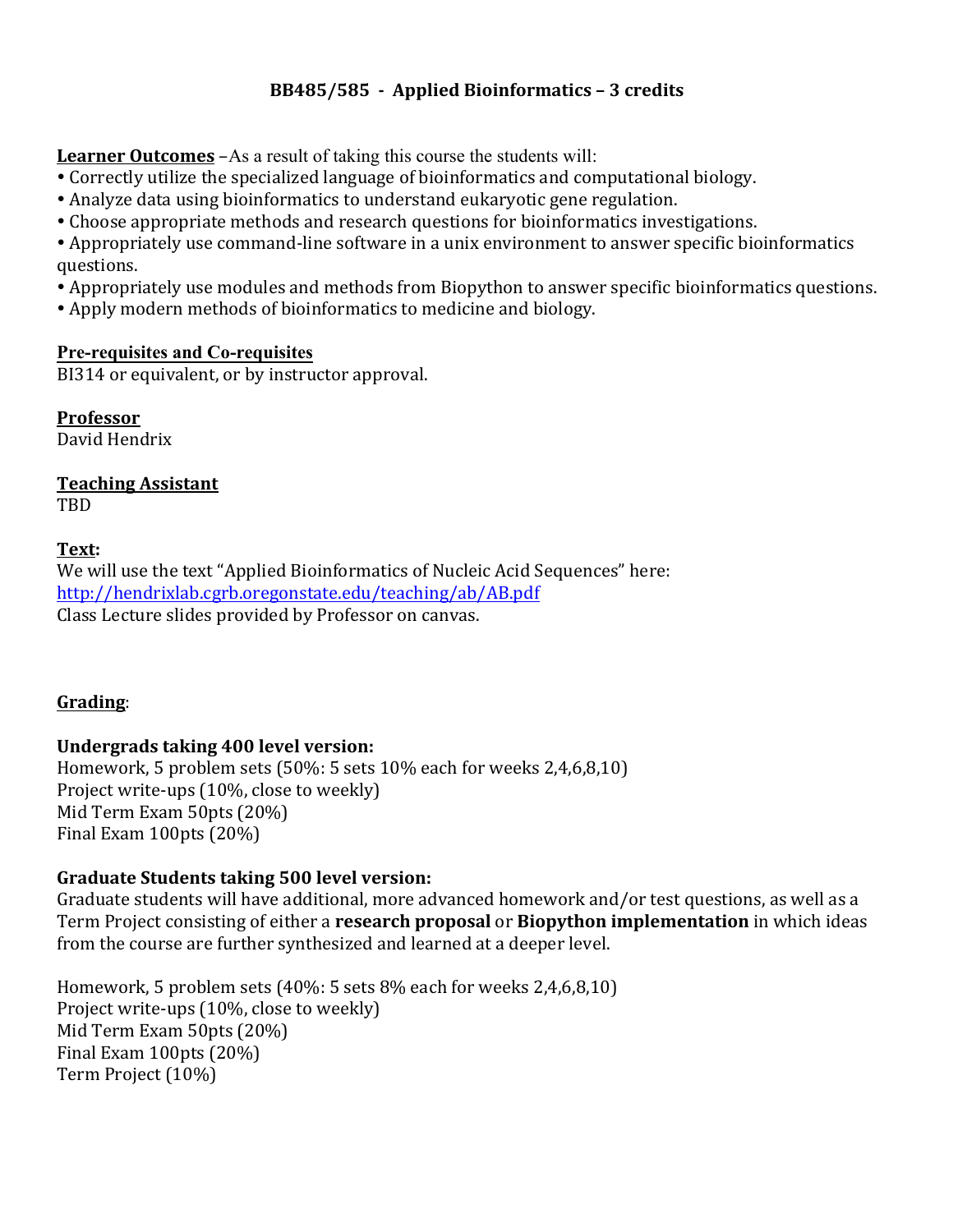# **BB485/585 - Applied Bioinformatics – 3 credits**

**Learner Outcomes** –As a result of taking this course the students will:

- Correctly utilize the specialized language of bioinformatics and computational biology.
- Analyze data using bioinformatics to understand eukaryotic gene regulation.
- Choose appropriate methods and research questions for bioinformatics investigations.
- Appropriately use command-line software in a unix environment to answer specific bioinformatics questions.
- Appropriately use modules and methods from Biopython to answer specific bioinformatics questions.
- Apply modern methods of bioinformatics to medicine and biology.

#### **Pre-requisites and Co-requisites**

BI314 or equivalent, or by instructor approval.

**Professor** David Hendrix

#### **Teaching Assistant** TBD

## **Text:**

We will use the text "Applied Bioinformatics of Nucleic Acid Sequences" here: http://hendrixlab.cgrb.oregonstate.edu/teaching/ab/AB.pdf Class Lecture slides provided by Professor on canvas.

## **Grading**:

## **Undergrads taking 400 level version:**

Homework, 5 problem sets  $(50\% : 5 \text{ sets } 10\%$  each for weeks  $2,4,6,8,10$ Project write-ups (10%, close to weekly) Mid Term Exam 50pts (20%) Final Exam  $100$ pts  $(20%)$ 

## **Graduate Students taking 500 level version:**

Graduate students will have additional, more advanced homework and/or test questions, as well as a Term Project consisting of either a **research proposal** or **Biopython implementation** in which ideas from the course are further synthesized and learned at a deeper level.

Homework, 5 problem sets  $(40\%: 5 \text{ sets } 8\%$  each for weeks  $2,4,6,8,10$ Project write-ups (10%, close to weekly) Mid Term Exam 50pts (20%) Final Exam  $100$ pts  $(20%)$ Term Project (10%)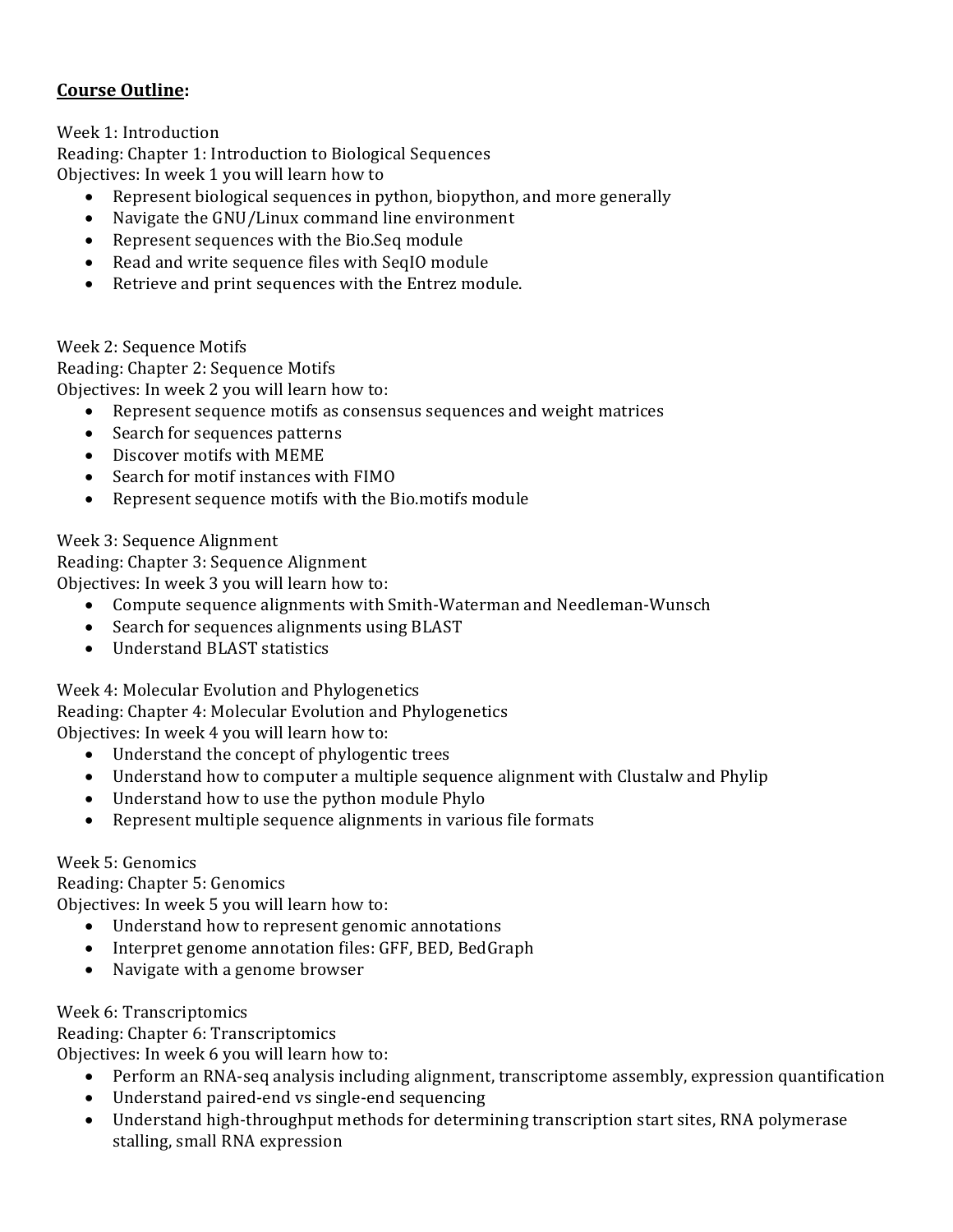# **Course Outline:**

Week 1: Introduction

Reading: Chapter 1: Introduction to Biological Sequences Objectives: In week 1 you will learn how to

- Represent biological sequences in python, biopython, and more generally
- Navigate the GNU/Linux command line environment
- Represent sequences with the Bio.Seq module
- Read and write sequence files with SeqIO module
- Retrieve and print sequences with the Entrez module.

Week 2: Sequence Motifs Reading: Chapter 2: Sequence Motifs Objectives: In week 2 you will learn how to:

- Represent sequence motifs as consensus sequences and weight matrices
- Search for sequences patterns
- Discover motifs with MEME
- Search for motif instances with FIMO
- Represent sequence motifs with the Bio.motifs module

Week 3: Sequence Alignment

Reading: Chapter 3: Sequence Alignment

Objectives: In week 3 you will learn how to:

- Compute sequence alignments with Smith-Waterman and Needleman-Wunsch
- Search for sequences alignments using BLAST
- Understand BLAST statistics

Week 4: Molecular Evolution and Phylogenetics Reading: Chapter 4: Molecular Evolution and Phylogenetics Objectives: In week 4 you will learn how to:

- Understand the concept of phylogentic trees
- Understand how to computer a multiple sequence alignment with Clustalw and Phylip
- Understand how to use the python module Phylo
- Represent multiple sequence alignments in various file formats

#### Week 5: Genomics

Reading: Chapter 5: Genomics Objectives: In week 5 you will learn how to:

- Understand how to represent genomic annotations
- Interpret genome annotation files: GFF, BED, BedGraph
- Navigate with a genome browser

#### Week 6: Transcriptomics

Reading: Chapter 6: Transcriptomics

Objectives: In week 6 you will learn how to:

- Perform an RNA-seq analysis including alignment, transcriptome assembly, expression quantification
- Understand paired-end vs single-end sequencing
- Understand high-throughput methods for determining transcription start sites, RNA polymerase stalling, small RNA expression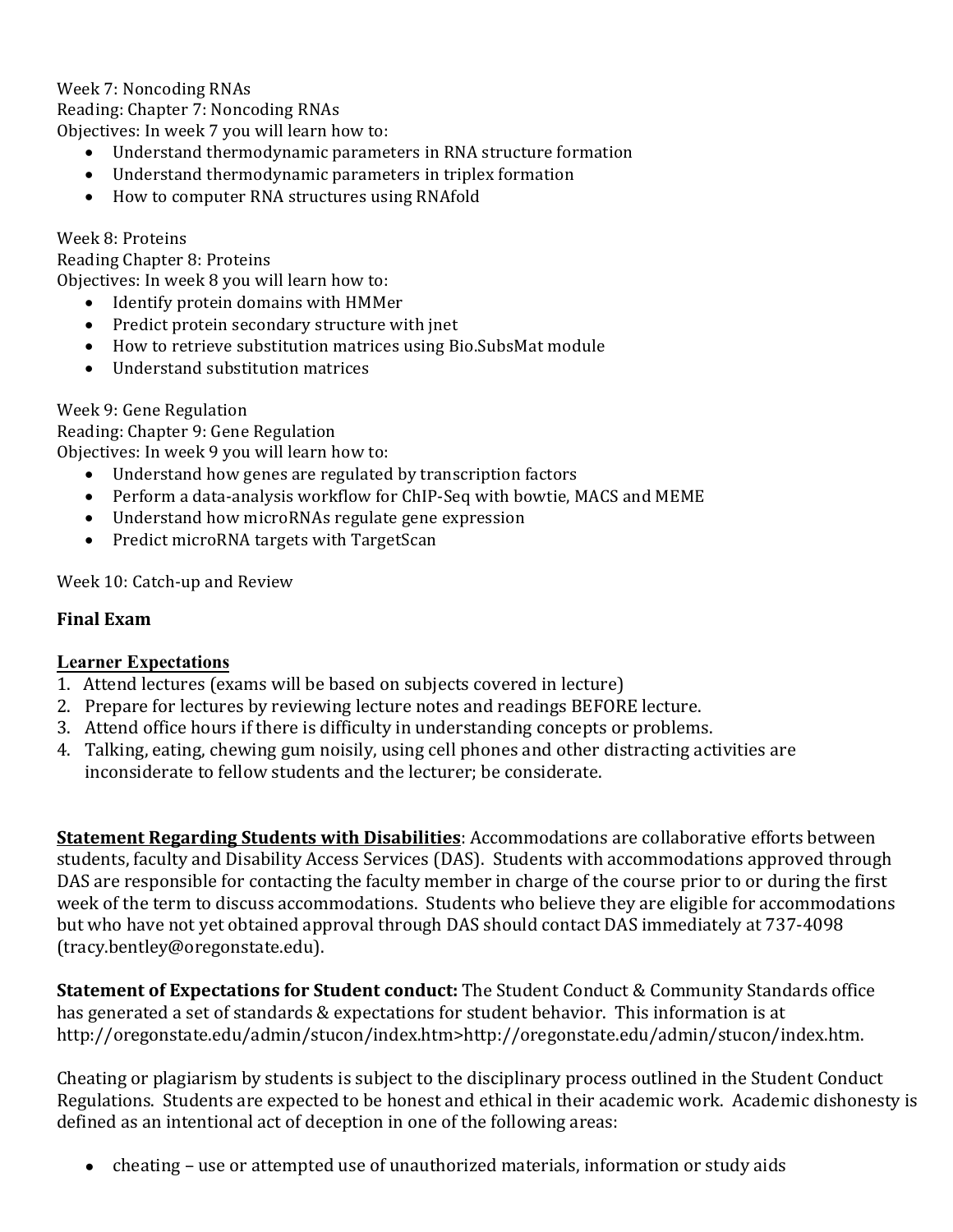Week 7: Noncoding RNAs Reading: Chapter 7: Noncoding RNAs Objectives: In week 7 you will learn how to:

- Understand thermodynamic parameters in RNA structure formation
- Understand thermodynamic parameters in triplex formation
- How to computer RNA structures using RNAfold

Week 8: Proteins

Reading Chapter 8: Proteins Objectives: In week 8 you will learn how to:

- Identify protein domains with HMMer
- Predict protein secondary structure with jnet
- How to retrieve substitution matrices using Bio.SubsMat module
- Understand substitution matrices

Week 9: Gene Regulation

Reading: Chapter 9: Gene Regulation

Objectives: In week 9 you will learn how to:

- Understand how genes are regulated by transcription factors
- Perform a data-analysis workflow for ChIP-Seq with bowtie, MACS and MEME
- Understand how microRNAs regulate gene expression
- Predict microRNA targets with TargetScan

Week 10: Catch-up and Review

#### **Final Exam**

#### **Learner Expectations**

- 1. Attend lectures (exams will be based on subjects covered in lecture)
- 2. Prepare for lectures by reviewing lecture notes and readings BEFORE lecture.
- 3. Attend office hours if there is difficulty in understanding concepts or problems.
- 4. Talking, eating, chewing gum noisily, using cell phones and other distracting activities are inconsiderate to fellow students and the lecturer; be considerate.

**Statement Regarding Students with Disabilities:** Accommodations are collaborative efforts between students, faculty and Disability Access Services (DAS). Students with accommodations approved through DAS are responsible for contacting the faculty member in charge of the course prior to or during the first week of the term to discuss accommodations. Students who believe they are eligible for accommodations but who have not yet obtained approval through DAS should contact DAS immediately at 737-4098 (tracy.bentley@oregonstate.edu).

**Statement of Expectations for Student conduct:** The Student Conduct & Community Standards office has generated a set of standards & expectations for student behavior. This information is at http://oregonstate.edu/admin/stucon/index.htm>http://oregonstate.edu/admin/stucon/index.htm.

Cheating or plagiarism by students is subject to the disciplinary process outlined in the Student Conduct Regulations. Students are expected to be honest and ethical in their academic work. Academic dishonesty is defined as an intentional act of deception in one of the following areas:

• cheating – use or attempted use of unauthorized materials, information or study aids